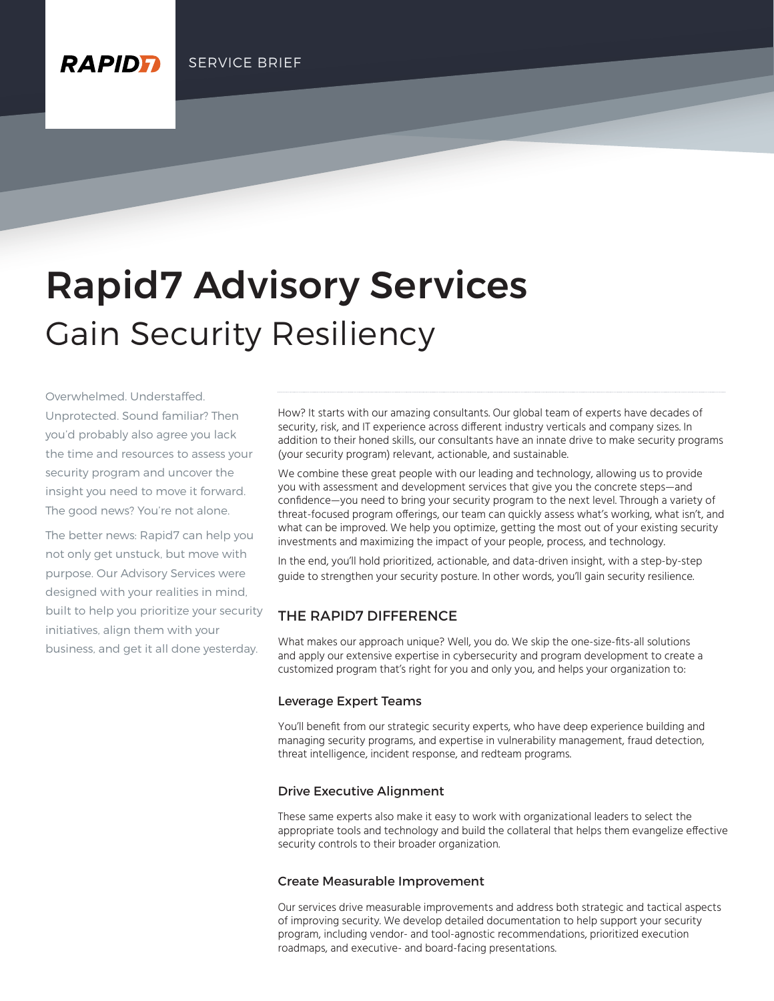# Gain Security Resiliency Rapid7 Advisory Services

Overwhelmed. Understaffed. Unprotected. Sound familiar? Then you'd probably also agree you lack the time and resources to assess your security program and uncover the insight you need to move it forward. The good news? You're not alone.

**RAPIDF** 

The better news: Rapid7 can help you not only get unstuck, but move with purpose. Our Advisory Services were designed with your realities in mind, built to help you prioritize your security initiatives, align them with your business, and get it all done yesterday.

How? It starts with our amazing consultants. Our global team of experts have decades of security, risk, and IT experience across different industry verticals and company sizes. In addition to their honed skills, our consultants have an innate drive to make security programs (your security program) relevant, actionable, and sustainable.

We combine these great people with our leading and technology, allowing us to provide you with assessment and development services that give you the concrete steps—and confidence—you need to bring your security program to the next level. Through a variety of threat-focused program offerings, our team can quickly assess what's working, what isn't, and what can be improved. We help you optimize, getting the most out of your existing security investments and maximizing the impact of your people, process, and technology.

In the end, you'll hold prioritized, actionable, and data-driven insight, with a step-by-step guide to strengthen your security posture. In other words, you'll gain security resilience.

## THE RAPID7 DIFFERENCE

What makes our approach unique? Well, you do. We skip the one-size-fits-all solutions and apply our extensive expertise in cybersecurity and program development to create a customized program that's right for you and only you, and helps your organization to:

#### Leverage Expert Teams

You'll benefit from our strategic security experts, who have deep experience building and managing security programs, and expertise in vulnerability management, fraud detection, threat intelligence, incident response, and redteam programs.

#### Drive Executive Alignment

These same experts also make it easy to work with organizational leaders to select the appropriate tools and technology and build the collateral that helps them evangelize effective security controls to their broader organization.

#### Create Measurable Improvement

Our services drive measurable improvements and address both strategic and tactical aspects of improving security. We develop detailed documentation to help support your security program, including vendor- and tool-agnostic recommendations, prioritized execution roadmaps, and executive- and board-facing presentations.